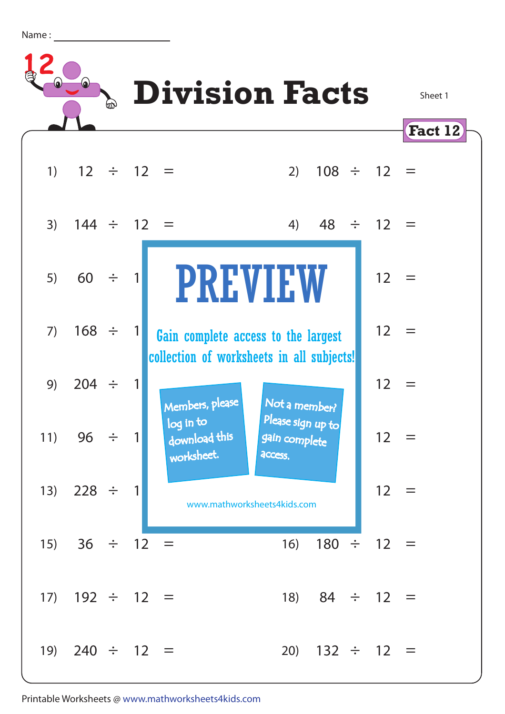